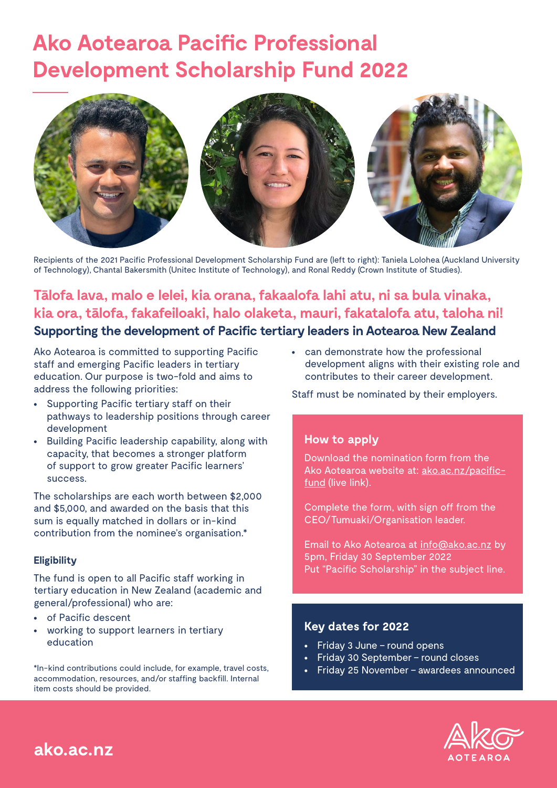# **Ako Aotearoa Pacific Professional Development Scholarship Fund 2022**



Recipients of the 2021 Pacific Professional Development Scholarship Fund are (left to right): Taniela Lolohea (Auckland University of Technology), Chantal Bakersmith (Unitec Institute of Technology), and Ronal Reddy (Crown Institute of Studies).

## **Tālofa lava, malo e lelei, kia orana, fakaalofa lahi atu, ni sa bula vinaka, kia ora, tālofa, fakafeiloaki, halo olaketa, mauri, fakatalofa atu, taloha ni! Supporting the development of Pacific tertiary leaders in Aotearoa New Zealand**

Ako Aotearoa is committed to supporting Pacific staff and emerging Pacific leaders in tertiary education. Our purpose is two-fold and aims to address the following priorities:

- **•** Supporting Pacific tertiary staff on their pathways to leadership positions through career development
- **•** Building Pacific leadership capability, along with capacity, that becomes a stronger platform of support to grow greater Pacific learners' success.

The scholarships are each worth between \$2,000 and \$5,000, and awarded on the basis that this sum is equally matched in dollars or in-kind contribution from the nominee's organisation.\*

#### **Eligibility**

The fund is open to all Pacific staff working in tertiary education in New Zealand (academic and general/professional) who are:

- **•** of Pacific descent
- **•** working to support learners in tertiary education

\*In-kind contributions could include, for example, travel costs, accommodation, resources, and/or staffing backfill. Internal item costs should be provided.

**•** can demonstrate how the professional development aligns with their existing role and contributes to their career development.

Staff must be nominated by their employers.

#### **How to apply**

Download the nomination form from the Ako Aotearoa website at: [ako.ac.nz/pacific](http://ako.ac.nz/pacific-fund)[fund](http://ako.ac.nz/pacific-fund) (live link).

Complete the form, with sign off from the CEO/Tumuaki/Organisation leader.

Email to Ako Aotearoa at info@ako.ac.nz by 5pm, Friday 30 September 2022 Put "Pacific Scholarship" in the subject line.

#### **Key dates for 2022**

- **•** Friday 3 June round opens
- **•** Friday 30 September round closes
- **•** Friday 25 November awardees announced